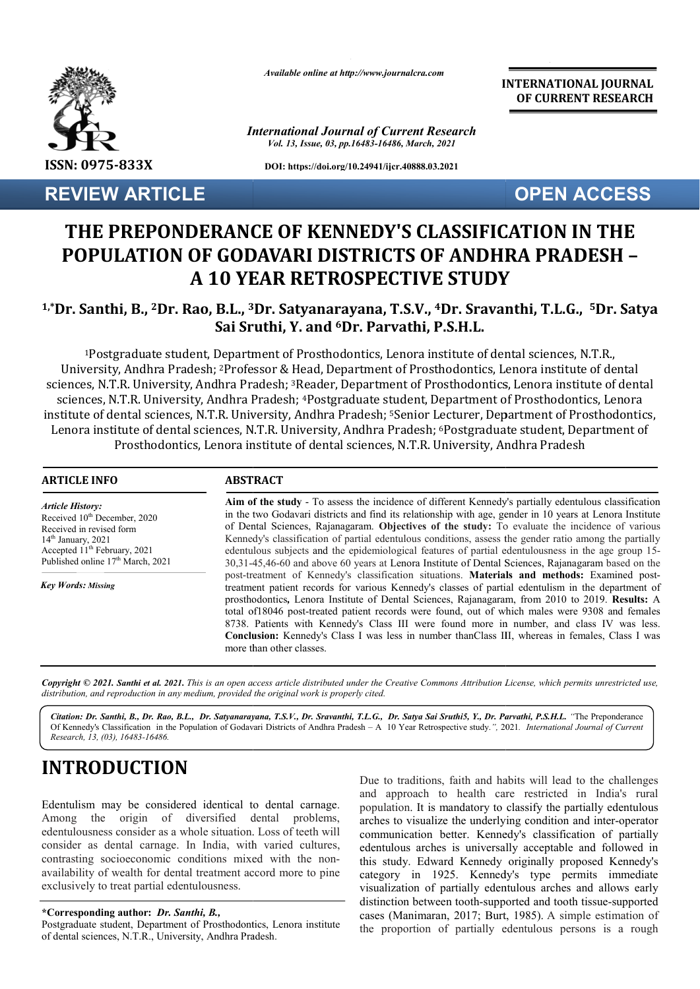

**REVIEW ARTICLE**

*Available online at http://www.journalcra.com*

*International Journal of Current Research Vol. 13, Issue, 03, pp.16483-16486, March, 2021*

**DOI: https://doi.org/10.24941/ijcr.40888.03.2021**

**INTERNATIONAL JOURNAL OF CURRENT RESEARCH**

**OPEN ACCESS**

# **THE PREPONDERANCE OF KENNEDY'S CLASSIFICATION IN THE POPULATION OF GODAVARI DISTRICTS OF ANDHRA PRADESH POPULATION – A 10 YEAR RETROSPECTIVE STUDY**

#### **1,\*Dr. Santhi, B., 2Dr. Rao, B.L., 3 3Dr. Satyanarayana, T.S.V., 4Dr. Sravanthi, T.L.G., Dr. T.L.G., 5Dr. Satya Sai Sruthi, Y. and 6Dr. Parvathi, P.S.H.L.**

<sup>1</sup>Postgraduate student, Department of Prosthodontics, Lenora institute of dental sciences, N.T.R., <sup>1</sup>Postgraduate student, Department of Prosthodontics, Lenora institute of dental sciences, N.T.R.,<br>University, Andhra Pradesh; <sup>2</sup>Professor & Head, Department of Prosthodontics, Lenora institute of dental sciences, N.T.R. University, Andhra Pradesh; <sup>3</sup>Reader, Department of Prosthodontics, Lenora institute of dental sciences, N.T.R. University, Andhra Pradesh; <sup>4</sup>Postgraduate student, Department of institute of dental sciences, N.T.R. University, Andhra Pradesh; <sup>5</sup>Senior Lecturer, Department of Prosthodontics, Lenora institute of dental sciences, N.T.R. University, Andhra Pradesh; 6Postgraduate student, Department of Prosthodontics, Lenora institute of dental sciences, N.T.R. University, Andhra Pradesh Head, Department of Prosthodontics, Lenora institute of dental<br><sup>3</sup>Reader, Department of Prosthodontics, Lenora institute of dent<br>1; <sup>4</sup>Postgraduate student, Department of Prosthodontics, Lenora Senior Lecturer, Department of Pro<br>Pradesh; 6Postgraduate student, De<sub>l</sub><br>, N.T.R. University, Andhra Pradesh

| <b>ARTICLE INFO</b>                                                                                                                                                                                                                               | <b>ABSTRACT</b>                                                                                                                                                                                                                                                                                                                                                                                                                                                                                                                                                                                                                               |  |
|---------------------------------------------------------------------------------------------------------------------------------------------------------------------------------------------------------------------------------------------------|-----------------------------------------------------------------------------------------------------------------------------------------------------------------------------------------------------------------------------------------------------------------------------------------------------------------------------------------------------------------------------------------------------------------------------------------------------------------------------------------------------------------------------------------------------------------------------------------------------------------------------------------------|--|
| <b>Article History:</b><br>Received 10 <sup>th</sup> December, 2020<br>Received in revised form<br>$14th$ January, 2021<br>Accepted 11 <sup>th</sup> February, 2021<br>Published online 17 <sup>th</sup> March, 2021<br><b>Key Words: Missing</b> | Aim of the study - To assess the incidence of different Kennedy's partially edentulous classification<br>in the two Godavari districts and find its relationship with age, gender in 10 years at Lenora Institute<br>of Dental Sciences, Rajanagaram. Objectives of the study: To evaluate the incidence of various<br>Kennedy's classification of partial edentulous conditions, assess the gender ratio among the partially<br>edentulous subjects and the epidemiological features of partial edentulousness in the age group 15-<br>30,31-45,46-60 and above 60 years at Lenora Institute of Dental Sciences, Rajanagaram based on the    |  |
|                                                                                                                                                                                                                                                   | post-treatment of Kennedy's classification situations. Materials and methods: Examined post-<br>treatment patient records for various Kennedy's classes of partial edentulism in the department of<br>prosthodontics, Lenora Institute of Dental Sciences, Rajanagaram, from 2010 to 2019. Results: A<br>total of 18046 post-treated patient records were found, out of which males were 9308 and females<br>8738. Patients with Kennedy's Class III were found more in number, and class IV was less.<br><b>Conclusion:</b> Kennedy's Class I was less in number than Class III, whereas in females, Class I was<br>more than other classes. |  |

Copyright © 2021. Santhi et al. 2021. This is an open access article distributed under the Creative Commons Attribution License, which permits unrestricted use, *distribution, and reproduction in any medium, provided the original work is properly cited.*

*Citation: Dr. Santhi, B., Dr. Rao, B.L., Dr. Satyanarayana, T.S.V., Dr. Sravanthi, T.L.G., Dr. Satya Sai Sru Sruthi5, Y., Dr. Parvathi, P.S.H.L thi5, P.S.H.L. "*The Preponderance Of Kennedy's Classification in the Population of Godavari Districts of Andhra Pradesh - A 10 Year Retrospective study.<sup>7</sup>, 2021. *International Journal of Current Research, 13, (03), 16483-16486.*

# **INTRODUCTION**

Edentulism may be considered identical to dental carnage. Among the origin of diversified dental problems, edentulousness consider as a whole situation. Loss of teeth will consider as dental carnage. In India, with varied cultures, contrasting socioeconomic conditions mixed with the nonavailability of wealth for dental treatment accord more to pine exclusively to treat partial edentulousness.

**\*Corresponding author:** *Dr. Santhi, B.,* 

Postgraduate student, Department of Prosthodontics, Lenora institute of dental sciences, N.T.R., University, Andhra Pradesh Pradesh.

Due to traditions, faith and habits will lead to the challenges and approach to health care restricted in India's rural population. It is mandatory to classify the partially edentulous arches to visualize the underlying condition and inter communication better. Kennedy's classification of partially edentulous arches is universally acceptable and followed in this study. Edward Kennedy originally proposed Kennedy's category in 1925. Kennedy's type permits immediate communication better. Kennedy's classification of partially edentulous arches is universally acceptable and followed in this study. Edward Kennedy originally proposed Kennedy's category in 1925. Kennedy's type permits imme distinction between tooth-supported and tooth tissue-supported cases (Manimaran, 2017; Burt, 1985). A simple estimation of the proportion of partially edentulous persons is a rough In to health care restricted in India's rural<br>It is mandatory to classify the partially edentulous<br>sualize the underlying condition and inter-operator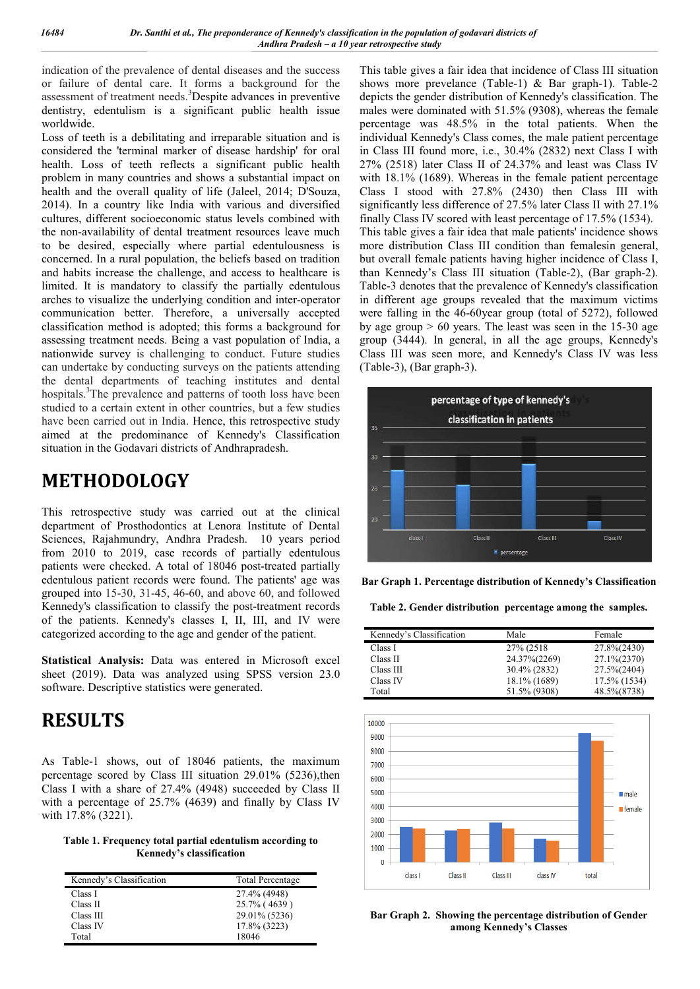indication of the prevalence of dental diseases and the success or failure of dental care. It forms a background for the assessment of treatment needs.<sup>3</sup>Despite advances in preventive dentistry, edentulism is a significant public health issue worldwide.

Loss of teeth is a debilitating and irreparable situation and is considered the 'terminal marker of disease hardship' for oral health. Loss of teeth reflects a significant public health problem in many countries and shows a substantial impact on health and the overall quality of life (Jaleel, 2014; D'Souza, 2014). In a country like India with various and diversified cultures, different socioeconomic status levels combined with the non-availability of dental treatment resources leave much to be desired, especially where partial edentulousness is concerned. In a rural population, the beliefs based on tradition and habits increase the challenge, and access to healthcare is limited. It is mandatory to classify the partially edentulous arches to visualize the underlying condition and inter-operator communication better. Therefore, a universally accepted classification method is adopted; this forms a background for assessing treatment needs. Being a vast population of India, a nationwide survey is challenging to conduct. Future studies can undertake by conducting surveys on the patients attending the dental departments of teaching institutes and dental hospitals.<sup>3</sup>The prevalence and patterns of tooth loss have been studied to a certain extent in other countries, but a few studies have been carried out in India. Hence, this retrospective study aimed at the predominance of Kennedy's Classification situation in the Godavari districts of Andhrapradesh.

### **METHODOLOGY**

This retrospective study was carried out at the clinical department of Prosthodontics at Lenora Institute of Dental Sciences, Rajahmundry, Andhra Pradesh. 10 years period from 2010 to 2019, case records of partially edentulous patients were checked. A total of 18046 post-treated partially edentulous patient records were found. The patients' age was grouped into 15-30, 31-45, 46-60, and above 60, and followed Kennedy's classification to classify the post-treatment records of the patients. Kennedy's classes I, II, III, and IV were categorized according to the age and gender of the patient.

**Statistical Analysis:** Data was entered in Microsoft excel sheet (2019). Data was analyzed using SPSS version 23.0 software. Descriptive statistics were generated.

## **RESULTS**

As Table-1 shows, out of 18046 patients, the maximum percentage scored by Class III situation 29.01% (5236), then Class I with a share of 27.4% (4948) succeeded by Class II with a percentage of 25.7% (4639) and finally by Class IV with 17.8% (3221).

**Table 1. Frequency total partial edentulism according to Kennedy's classification**

| Kennedy's Classification | <b>Total Percentage</b> |
|--------------------------|-------------------------|
| Class I                  | 27.4% (4948)            |
| Class II                 | 25.7% (4639)            |
| Class III                | 29.01% (5236)           |
| Class IV                 | 17.8% (3223)            |
| Total                    | 18046                   |

This table gives a fair idea that incidence of Class III situation shows more prevelance (Table-1) & Bar graph-1). Table-2 depicts the gender distribution of Kennedy's classification. The males were dominated with 51.5% (9308), whereas the female percentage was 48.5% in the total patients. When the individual Kennedy's Class comes, the male patient percentage in Class III found more, i.e., 30.4% (2832) next Class I with 27% (2518) later Class II of 24.37% and least was Class IV with 18.1% (1689). Whereas in the female patient percentage Class I stood with 27.8% (2430) then Class III with significantly less difference of 27.5% later Class II with 27.1% finally Class IV scored with least percentage of 17.5% (1534). This table gives a fair idea that male patients' incidence shows more distribution Class III condition than femalesin general, but overall female patients having higher incidence of Class I, than Kennedy's Class III situation (Table-2), (Bar graph-2). Table-3 denotes that the prevalence of Kennedy's classification in different age groups revealed that the maximum victims were falling in the 46-60year group (total of 5272), followed by age group  $> 60$  years. The least was seen in the 15-30 age group (3444). In general, in all the age groups, Kennedy's Class III was seen more, and Kennedy's Class IV was less (Table-3), (Bar graph-3).



**Bar Graph 1. Percentage distribution of Kennedy's Classification**

**Table 2. Gender distribution percentage among the samples.**

| Kennedy's Classification | Male         | Female                  |
|--------------------------|--------------|-------------------------|
| Class I                  | 27% (2518)   | 27.8%(2430)             |
| Class II                 | 24.37%(2269) | $27.1\frac{6(2370)}{6}$ |
| Class III                | 30.4% (2832) | 27.5%(2404)             |
| Class IV                 | 18.1% (1689) | 17.5% (1534)            |
| Total                    | 51.5% (9308) | 48.5% (8738)            |



**Bar Graph 2. Showing the percentage distribution of Gender among Kennedy's Classes**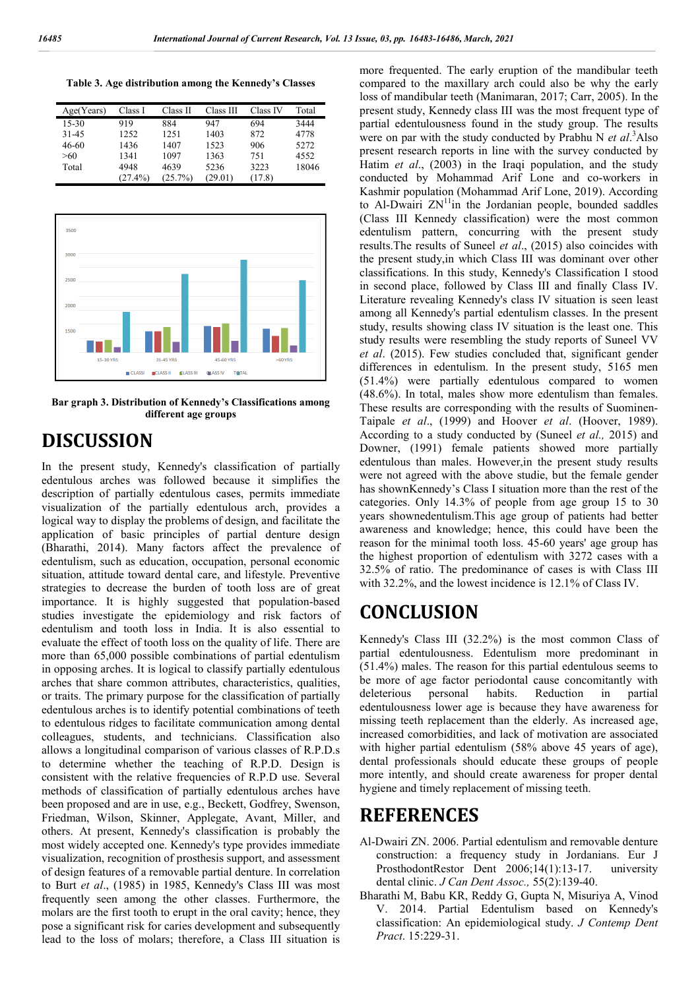**Table 3. Age distribution among the Kennedy's Classes**

| Age(Years) | Class I    | Class II | Class III | Class IV | Total |
|------------|------------|----------|-----------|----------|-------|
| $15-30$    | 919        | 884      | 947       | 694      | 3444  |
| 31-45      | 1252       | 1251     | 1403      | 872      | 4778  |
| 46-60      | 1436       | 1407     | 1523      | 906      | 5272  |
| >60        | 1341       | 1097     | 1363      | 751      | 4552  |
| Total      | 4948       | 4639     | 5236      | 3223     | 18046 |
|            | $(27.4\%)$ | (25.7%)  | (29.01)   | (17.8)   |       |



**Bar graph 3. Distribution of Kennedy's Classifications among different age groups**

### **DISCUSSION**

In the present study, Kennedy's classification of partially edentulous arches was followed because it simplifies the description of partially edentulous cases, permits immediate visualization of the partially edentulous arch, provides a logical way to display the problems of design, and facilitate the application of basic principles of partial denture design (Bharathi, 2014). Many factors affect the prevalence of edentulism, such as education, occupation, personal economic situation, attitude toward dental care, and lifestyle. Preventive strategies to decrease the burden of tooth loss are of great importance. It is highly suggested that population-based studies investigate the epidemiology and risk factors of edentulism and tooth loss in India. It is also essential to evaluate the effect of tooth loss on the quality of life. There are more than 65,000 possible combinations of partial edentulism in opposing arches. It is logical to classify partially edentulous arches that share common attributes, characteristics, qualities, or traits. The primary purpose for the classification of partially edentulous arches is to identify potential combinations of teeth to edentulous ridges to facilitate communication among dental colleagues, students, and technicians. Classification also allows a longitudinal comparison of various classes of R.P.D.s to determine whether the teaching of R.P.D. Design is consistent with the relative frequencies of R.P.D use. Several methods of classification of partially edentulous arches have been proposed and are in use, e.g., Beckett, Godfrey, Swenson, Friedman, Wilson, Skinner, Applegate, Avant, Miller, and others. At present, Kennedy's classification is probably the most widely accepted one. Kennedy's type provides immediate visualization, recognition of prosthesis support, and assessment of design features of a removable partial denture. In correlation to Burt *et al*., (1985) in 1985, Kennedy's Class III was most frequently seen among the other classes. Furthermore, the molars are the first tooth to erupt in the oral cavity; hence, they pose a significant risk for caries development and subsequently lead to the loss of molars; therefore, a Class III situation is

more frequented. The early eruption of the mandibular teeth compared to the maxillary arch could also be why the early loss of mandibular teeth (Manimaran, 2017; Carr, 2005). In the present study, Kennedy class III was the most frequent type of partial edentulousness found in the study group. The results were on par with the study conducted by Prabhu N *et al*. 3 Also present research reports in line with the survey conducted by Hatim *et al*., (2003) in the Iraqi population, and the study conducted by Mohammad Arif Lone and co-workers in Kashmir population (Mohammad Arif Lone, 2019). According to Al-Dwairi  $ZN<sup>11</sup>$ in the Jordanian people, bounded saddles (Class III Kennedy classification) were the most common edentulism pattern, concurring with the present study results.The results of Suneel *et al*., (2015) also coincides with the present study,in which Class III was dominant over other classifications. In this study, Kennedy's Classification I stood in second place, followed by Class III and finally Class IV. Literature revealing Kennedy's class IV situation is seen least among all Kennedy's partial edentulism classes. In the present study, results showing class IV situation is the least one. This study results were resembling the study reports of Suneel VV *et al*. (2015). Few studies concluded that, significant gender differences in edentulism. In the present study, 5165 men (51.4%) were partially edentulous compared to women (48.6%). In total, males show more edentulism than females. These results are corresponding with the results of Suominen-Taipale *et al*., (1999) and Hoover *et al*. (Hoover, 1989). According to a study conducted by (Suneel *et al.,* 2015) and Downer, (1991) female patients showed more partially edentulous than males. However,in the present study results were not agreed with the above studie, but the female gender has shownKennedy's Class I situation more than the rest of the categories. Only 14.3% of people from age group 15 to 30 years shownedentulism.This age group of patients had better awareness and knowledge; hence, this could have been the reason for the minimal tooth loss. 45-60 years' age group has the highest proportion of edentulism with 3272 cases with a 32.5% of ratio. The predominance of cases is with Class III with 32.2%, and the lowest incidence is 12.1% of Class IV.

### **CONCLUSION**

Kennedy's Class III (32.2%) is the most common Class of partial edentulousness. Edentulism more predominant in (51.4%) males. The reason for this partial edentulous seems to be more of age factor periodontal cause concomitantly with deleterious personal habits. Reduction in partial edentulousness lower age is because they have awareness for missing teeth replacement than the elderly. As increased age, increased comorbidities, and lack of motivation are associated with higher partial edentulism (58% above 45 years of age), dental professionals should educate these groups of people more intently, and should create awareness for proper dental hygiene and timely replacement of missing teeth.

#### **REFERENCES**

- Al-Dwairi ZN. 2006. Partial edentulism and removable denture construction: a frequency study in Jordanians. Eur J ProsthodontRestor Dent 2006;14(1):13-17. university dental clinic. *J Can Dent Assoc.,* 55(2):139-40.
- Bharathi M, Babu KR, Reddy G, Gupta N, Misuriya A, Vinod V. 2014. Partial Edentulism based on Kennedy's classification: An epidemiological study. *J Contemp Dent Pract*. 15:229-31.